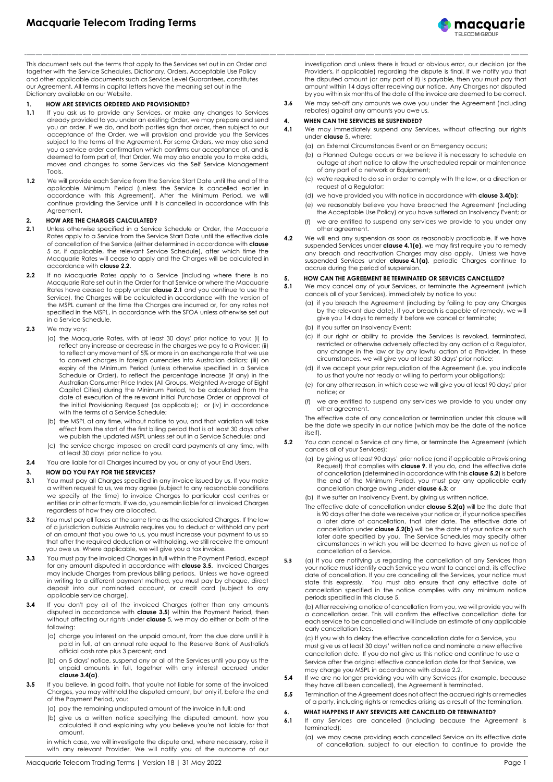

This document sets out the terms that apply to the Services set out in an Order and together with the Service Schedules, Dictionary, Orders, Acceptable Use Policy and other applicable documents such as Service Level Guarantees, constitutes our Agreement. All terms in capital letters have the meaning set out in the Dictionary available on our Website.

## **1. HOW ARE SERVICES ORDERED AND PROVISIONED?**

- **1.1** If you ask us to provide any Services, or make any changes to Services already provided to you under an existing Order, we may prepare and send you an order. If we do, and both parties sign that order, then subject to our acceptance of the Order, we will provision and provide you the Services subject to the terms of the Agreement. For some Orders, we may also send you a service order confirmation which confirms our acceptance of, and is deemed to form part of, that Order. We may also enable you to make adds, moves and changes to some Services via the Self Service Management Tools.
- **1.2** We will provide each Service from the Service Start Date until the end of the applicable Minimum Period (unless the Service is cancelled earlier in accordance with this Agreement). After the Minimum Period, we will continue providing the Service until it is cancelled in accordance with this Agreement.

# **2. HOW ARE THE CHARGES CALCULATED?**

- <span id="page-0-2"></span>**2.1** Unless otherwise specified in a Service Schedule or Order, the Macquarie Rates apply to a Service from the Service Start Date until the effective date of cancellation of the Service (either determined in accordance with **clause**  [5](#page-0-0) or, if applicable, the relevant Service Schedule), after which time the Macquarie Rates will cease to apply and the Charges will be calculated in accordance with **clause [2.2.](#page-0-1)**
- <span id="page-0-1"></span>**2.2** If no Macquarie Rates apply to a Service (including where there is no Macquarie Rate set out in the Order for that Service or where the Macquarie Rates have ceased to apply under **claus[e 2.1](#page-0-2)** and you continue to use the Service), the Charges will be calculated in accordance with the version of the MSPL current at the time the Charges are incurred or, for any rates not specified in the MSPL, in accordance with the SFOA unless otherwise set out in a Service Schedule.
- **2.3** We may vary:
	- (a) the Macquarie Rates, with at least 30 days' prior notice to you: (i) to reflect any increase or decrease in the charges we pay to a Provider; (ii) to reflect any movement of 5% or more in an exchange rate that we use to convert charges in foreign currencies into Australian dollars; (iii) on expiry of the Minimum Period (unless otherwise specified in a Service Schedule or Order), to reflect the percentage increase (if any) in the Australian Consumer Price Index (All Groups, Weighted Average of Eight Capital Cities) during the Minimum Period, to be calculated from the date of execution of the relevant initial Purchase Order or approval of the initial Provisioning Request (as applicable); or (iv) in accordance with the terms of a Service Schedule;
	- (b) the MSPL at any time, without notice to you, and that variation will take effect from the start of the first billing period that is at least 30 days after we publish the updated MSPL unless set out in a Service Schedule; and
	- (c) the service charge imposed on credit card payments at any time, with at least 30 days' prior notice to you.
- **2.4** You are liable for all Charges incurred by you or any of your End Users.

# **3. HOW DO YOU PAY FOR THE SERVICES?**

- **3.1** You must pay all Charges specified in any invoice issued by us. If you make a written request to us, we may agree (subject to any reasonable conditions we specify at the time) to invoice Charges to particular cost centres or entities or in other formats. If we do, you remain liable for all invoiced Charges regardless of how they are allocated.
- **3.2** You must pay all Taxes at the same time as the associated Charges. If the law of a jurisdiction outside Australia requires you to deduct or withhold any part of an amount that you owe to us, you must increase your payment to us so that after the required deduction or withholding, we still receive the amount you owe us. Where applicable, we will give you a tax invoice.
- **3.3** You must pay the invoiced Charges in full within the Payment Period, except for any amount disputed in accordance with **claus[e 3.5](#page-0-3)**. Invoiced Charges may include Charges from previous billing periods. Unless we have agreed in writing to a different payment method, you must pay by cheque, direct deposit into our nominated account, or credit card (subject to any applicable service charge).
- <span id="page-0-4"></span>**3.4** If you don't pay all of the invoiced Charges (other than any amounts disputed in accordance with **clause [3.5](#page-0-3)**) within the Payment Period, then without affecting our rights under **clause** [5,](#page-0-0) we may do either or both of the following:
	- (a) charge you interest on the unpaid amount, from the due date until it is paid in full, at an annual rate equal to the Reserve Bank of Australia's official cash rate plus 3 percent; and
	- (b) on 5 days' notice, suspend any or all of the Services until you pay us the unpaid amounts in full, together with any interest accrued under **clause [3.4\(a\)](#page-0-4)**.
- <span id="page-0-5"></span><span id="page-0-3"></span>**3.5** If you believe, in good faith, that you're not liable for some of the invoiced Charges, you may withhold the disputed amount, but only if, before the end of the Payment Period, you:
	- (a) pay the remaining undisputed amount of the invoice in full; and
	- (b) give us a written notice specifying the disputed amount, how you calculated it and explaining why you believe you're not liable for that amount,

in which case, we will investigate the dispute and, where necessary, raise it with any relevant Provider. We will notify you of the outcome of our

investigation and unless there is fraud or obvious error, our decision (or the Provider's, if applicable) regarding the dispute is final. If we notify you that the disputed amount (or any part of it) is payable, then you must pay that amount within 14 days after receiving our notice. Any Charges not disputed by you within six months of the date of the invoice are deemed to be correct.

**3.6** We may set-off any amounts we owe you under the Agreement (including rebates) against any amounts you owe us.

# **4. WHEN CAN THE SERVICES BE SUSPENDED?**

- <span id="page-0-7"></span>**4.1** We may immediately suspend any Services, without affecting our rights under **clause** [5](#page-0-0)**,** where:
	- (a) an External Circumstances Event or an Emergency occurs;
	- (b) a Planned Outage occurs or we believe it is necessary to schedule an outage at short notice to allow the unscheduled repair or maintenance of any part of a network or Equipment;
	- (c) we're required to do so in order to comply with the law, or a direction or request of a Regulator;
	- (d) we have provided you with notice in accordance with **claus[e 3.4\(b\)](#page-0-5)**;
	- we reasonably believe you have breached the Agreement (including
	- the Acceptable Use Policy) or you have suffered an Insolvency Event; or (f) we are entitled to suspend any services we provide to you under any other agreement.
- <span id="page-0-6"></span>**4.2** We will end any suspension as soon as reasonably practicable. If we have suspended Services under **claus[e 4.1\(e\)](#page-0-6)**, we may first require you to remedy any breach and reactivation Charges may also apply. Unless we have suspended Services under **clause [4.1\(a\)](#page-0-7)**, periodic Charges continue to accrue during the period of suspension.

### <span id="page-0-0"></span>**5. HOW CAN THE AGREEMENT BE TERMINATED OR SERVICES CANCELLED?**

- <span id="page-0-11"></span>**5.1** We may cancel any of your Services, or terminate the Agreement (which cancels all of your Services), immediately by notice to you:
	- (a) if you breach the Agreement (including by failing to pay any Charges by the relevant due date). If your breach is capable of remedy, we will give you 14 days to remedy it before we cancel or terminate;
	- (b) if you suffer an Insolvency Event;
	- (c) if our right or ability to provide the Services is revoked, terminated, restricted or otherwise adversely affected by any action of a Regulator, any change in the law or by any lawful action of a Provider. In these circumstances, we will give you at least 30 days' prior notice;
	- (d) if we accept your prior repudiation of the Agreement (i.e. you indicate to us that you're not ready or willing to perform your obligations);
	- (e) for any other reason, in which case we will give you at least 90 days' prior notice; or
	- (f) we are entitled to suspend any services we provide to you under any other agreement.

<span id="page-0-12"></span>The effective date of any cancellation or termination under this clause will be the date we specify in our notice (which may be the date of the notice itself).

- <span id="page-0-10"></span><span id="page-0-9"></span><span id="page-0-8"></span>**5.2** You can cancel a Service at any time, or terminate the Agreement (which cancels all of your Services):
	- (a) by giving us at least 90 days' prior notice (and if applicable a Provisioning Request) that complies with **clause [9.](#page-1-0)** If you do, and the effective date of cancellation (determined in accordance with this **clause [5.2](#page-0-8)**) is before the end of the Minimum Period, you must pay any applicable early cancellation charge owing under **clause [6.3](#page-1-1)**; or
	- (b) if we suffer an Insolvency Event, by giving us written notice.
	- The effective date of cancellation under **claus[e 5.2\(a\)](#page-0-9)** will be the date that is 90 days after the date we receive your notice or, if your notice specifies a later date of cancellation, that later date. The effective date of cancellation under **claus[e 5.2\(b\)](#page-0-10)** will be the date of your notice or such later date specified by you. The Service Schedules may specify other circumstances in which you will be deemed to have given us notice of cancellation of a Service.
- **5.3** (a) If you are notifying us regarding the cancellation of any Services than your notice must identify each Service you want to cancel and, its effective date of cancellation. If you are cancelling all the Services, your notice must state this expressly. You must also ensure that any effective date of cancellation specified in the notice complies with any minimum notice periods specified in this clause 5.

(b) After receiving a notice of cancellation from you, we will provide you with a cancellation order. This will confirm the effective cancellation date for each service to be cancelled and will include an estimate of any applicable early cancellation fees.

(c) If you wish to delay the effective cancellation date for a Service, you must give us at least 30 days' written notice and nominate a new effective cancellation date. If you do not give us this notice and continue to use a Service after the original effective cancellation date for that Service, we may charge you MSPL in accordance with clause 2.2.

- **5.4** If we are no longer providing you with any Services (for example, because they have all been cancelled), the Agreement is terminated.
- **5.5** Termination of the Agreement does not affect the accrued rights or remedies of a party, including rights or remedies arising as a result of the termination.

#### **6. WHAT HAPPENS IF ANY SERVICES ARE CANCELLED OR TERMINATED?**

**6.1** If any Services are cancelled (including because the Agreement is terminated):

(a) we may cease providing each cancelled Service on its effective date of cancellation, subject to our election to continue to provide the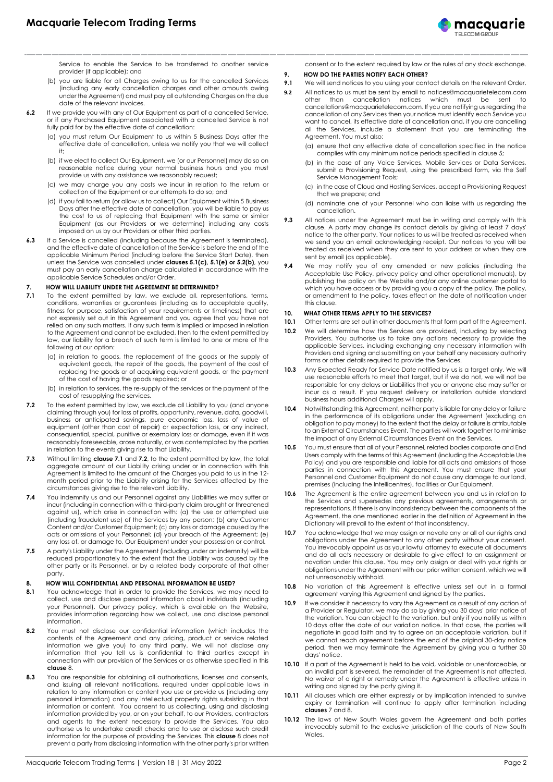

Service to enable the Service to be transferred to another service provider (if applicable); and

- (b) you are liable for all Charges owing to us for the cancelled Services (including any early cancellation charges and other amounts owing under the Agreement) and must pay all outstanding Charges on the due date of the relevant invoices.
- **6.2** If we provide you with any of Our Equipment as part of a cancelled Service, or if any Purchased Equipment associated with a cancelled Service is not fully paid for by the effective date of cancellation:
	- (a) you must return Our Equipment to us within 5 Business Days after the effective date of cancellation, unless we notify you that we will collect it;
	- (b) if we elect to collect Our Equipment, we (or our Personnel) may do so on reasonable notice during your normal business hours and you must provide us with any assistance we reasonably request;
	- (c) we may charge you any costs we incur in relation to the return or collection of the Equipment or our attempts to do so; and
	- (d) if you fail to return (or allow us to collect) Our Equipment within 5 Business Days after the effective date of cancellation, you will be liable to pay us the cost to us of replacing that Equipment with the same or similar Equipment (as our Providers or we determine) including any costs imposed on us by our Providers or other third parties.
- <span id="page-1-1"></span>**6.3** If a Service is cancelled (including because the Agreement is terminated), and the effective date of cancellation of the Service is before the end of the applicable Minimum Period (including before the Service Start Date), then unless the Service was cancelled under **clauses [5.1\(c\),](#page-0-11) [5.1\(e\)](#page-0-12) o[r 5.2\(b\)](#page-0-10)**, you must pay an early cancellation charge calculated in accordance with the applicable Service Schedules and/or Order.

#### <span id="page-1-5"></span>**7. HOW WILL LIABILITY UNDER THE AGREEMENT BE DETERMINED?**

- <span id="page-1-2"></span>**7.1** To the extent permitted by law, we exclude all, representations, terms, conditions, warranties or guarantees (including as to acceptable quality, fitness for purpose, satisfaction of your requirements or timeliness) that are not expressly set out in this Agreement and you agree that you have not relied on any such matters. If any such term is implied or imposed in relation to the Agreement and cannot be excluded, then to the extent permitted by law, our liability for a breach of such term is limited to one or more of the following at our option:
	- (a) in relation to goods, the replacement of the goods or the supply of equivalent goods, the repair of the goods, the payment of the cost of replacing the goods or of acquiring equivalent goods, or the payment of the cost of having the goods repaired; or
	- (b) in relation to services, the re-supply of the services or the payment of the cost of resupplying the services.
- <span id="page-1-3"></span>**7.2** To the extent permitted by law, we exclude all Liability to you (and anyone claiming through you) for loss of profits, opportunity, revenue, data, goodwill, business or anticipated savings, pure economic loss, loss of value of equipment (other than cost of repair) or expectation loss, or any indirect, consequential, special, punitive or exemplary loss or damage, even if it was reasonably foreseeable, arose naturally, or was contemplated by the parties in relation to the events giving rise to that Liability.
- **7.3** Without limiting **claus[e 7.1](#page-1-2)** and **[7.2](#page-1-3)**, to the extent permitted by law, the total aggregate amount of our Liability arising under or in connection with this Agreement is limited to the amount of the Charges you paid to us in the 12 month period prior to the Liability arising for the Services affected by the circumstances giving rise to the relevant Liability.
- **7.4** You indemnify us and our Personnel against any Liabilities we may suffer or incur (including in connection with a third-party claim brought or threatened against us), which arise in connection with: (a) the use or attempted use (including fraudulent use) of the Services by any person; (b) any Customer Content and/or Customer Equipment; (c) any loss or damage caused by the acts or omissions of your Personnel; (d) your breach of the Agreement; (e) any loss of, or damage to, Our Equipment under your possession or control.
- **7.5** A party's Liability under the Agreement (including under an indemnity) will be reduced proportionately to the extent that the Liability was caused by the other party or its Personnel, or by a related body corporate of that other party.

#### <span id="page-1-4"></span>**8. HOW WILL CONFIDENTIAL AND PERSONAL INFORMATION BE USED?**

- **8.1** You acknowledge that in order to provide the Services, we may need to collect, use and disclose personal information about individuals (including your Personnel). Our privacy policy, which is available on the Website, provides information regarding how we collect, use and disclose personal information.
- **8.2** You must not disclose our confidential information (which includes the contents of the Agreement and any pricing, product or service related information we give you) to any third party. We will not disclose any information that you tell us is confidential to third parties except in connection with our provision of the Services or as otherwise specified in this **clause** [8.](#page-1-4)
- **8.3** You are responsible for obtaining all authorisations, licenses and consents, and issuing all relevant notifications, required under applicable laws in relation to any information or content you use or provide us (including any personal information) and any intellectual property rights subsisting in that information or content. You consent to us collecting, using and disclosing information provided by you, or on your behalf, to our Providers, contractors and agents to the extent necessary to provide the Services. You also authorise us to undertake credit checks and to use or disclose such credit information for the purpose of providing the Services. This **clause** [8](#page-1-4) does not prevent a party from disclosing information with the other party's prior written

consent or to the extent required by law or the rules of any stock exchange.

### <span id="page-1-0"></span>**9. HOW DO THE PARTIES NOTIFY EACH OTHER?**

- **9.1** We will send notices to you using your contact details on the relevant Order.
- **9.2** All notices to us must be sent by email t[o notices@macquarietelecom.com](mailto:notices@macquarietelecom.com) other than cancellation notices which must be sent to [cancellations@macquarietelecom.com.](mailto:cancellations@macquarietelecom.com) If you are notifying us regarding the cancellation of any Services then your notice must identify each Service you want to cancel, its effective date of cancellation and, if you are cancelling all the Services, include a statement that you are terminating the Agreement. You must also:
	- (a) ensure that any effective date of cancellation specified in the notice complies with any minimum notice periods specified in clause [5;](#page-0-0)
	- (b) in the case of any Voice Services, Mobile Services or Data Services, submit a Provisioning Request, using the prescribed form, via the Self Service Management Tools;
	- (c) in the case of Cloud and Hosting Services, accept a Provisioning Request that we prepare; and
	- (d) nominate one of your Personnel who can liaise with us regarding the cancellation.
- **9.3** All notices under the Agreement must be in writing and comply with this clause. A party may change its contact details by giving at least 7 days' notice to the other party. Your notices to us will be treated as received when we send you an email acknowledging receipt. Our notices to you will be treated as received when they are sent to your address or when they are sent by email (as applicable).
- **9.4** We may notify you of any amended or new policies (including the Acceptable Use Policy, privacy policy and other operational manuals), by publishing the policy on the Website and/or any online customer portal to which you have access or by providing you a copy of the policy. The policy, or amendment to the policy, takes effect on the date of notification under this clause.

## **10. WHAT OTHER TERMS APPLY TO THE SERVICES?**

- **10.1** Other terms are set out in other documents that form part of the Agreement.
- **10.2** We will determine how the Services are provided, including by selecting Providers. You authorise us to take any actions necessary to provide the applicable Services, including exchanging any necessary information with Providers and signing and submitting on your behalf any necessary authority forms or other details required to provide the Services.
- **10.3** Any Expected Ready for Service Date notified by us is a target only. We will use reasonable efforts to meet that target, but if we do not, we will not be responsible for any delays or Liabilities that you or anyone else may suffer or incur as a result. If you request delivery or installation outside standard business hours additional Charges will apply.
- **10.4** Notwithstanding this Agreement, neither party is liable for any delay or failure in the performance of its obligations under the Agreement (excluding an obligation to pay money) to the extent that the delay or failure is attributable to an External Circumstances Event. The parties will work together to minimise the impact of any External Circumstances Event on the Services.
- **10.5** You must ensure that all of your Personnel, related bodies corporate and End Users comply with the terms of this Agreement (including the Acceptable Use Policy) and you are responsible and liable for all acts and omissions of those parties in connection with this Agreement. You must ensure that your Personnel and Customer Equipment do not cause any damage to our land, premises (including the Intellicentres), facilities or Our Equipment.
- **10.6** The Agreement is the entire agreement between you and us in relation to the Services and supersedes any previous agreements, arrangements or representations. If there is any inconsistency between the components of the Agreement, the one mentioned earlier in the definition of Agreement in the Dictionary will prevail to the extent of that inconsistency.
- **10.7** You acknowledge that we may assign or novate any or all of our rights and obligations under the Agreement to any other party without your consent. You irrevocably appoint us as your lawful attorney to execute all documents and do all acts necessary or desirable to give effect to an assignment or novation under this clause. You may only assign or deal with your rights or obligations under the Agreement with our prior written consent, which we will not unreasonably withhold.
- **10.8** No variation of this Agreement is effective unless set out in a formal agreement varying this Agreement and signed by the parties.
- **10.9** If we consider it necessary to vary the Agreement as a result of any action of a Provider or Regulator, we may do so by giving you 30 days' prior notice of the variation. You can object to the variation, but only if you notify us within 10 days after the date of our variation notice. In that case, the parties will negotiate in good faith and try to agree on an acceptable variation, but if we cannot reach agreement before the end of the original 30-day notice period, then we may terminate the Agreement by giving you a further 30 days' notice.
- **10.10** If a part of the Agreement is held to be void, voidable or unenforceable, or an invalid part is severed, the remainder of the Agreement is not affected. No waiver of a right or remedy under the Agreement is effective unless in writing and signed by the party giving it.
- **10.11** All clauses which are either expressly or by implication intended to survive expiry or termination will continue to apply after termination including **clauses** [7](#page-1-5) an[d 8.](#page-1-4)
- **10.12** The laws of New South Wales govern the Agreement and both parties irrevocably submit to the exclusive jurisdiction of the courts of New South Wales.